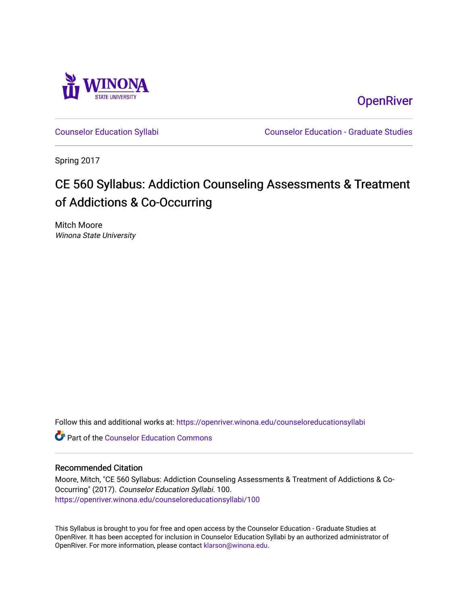

**OpenRiver** 

[Counselor Education Syllabi](https://openriver.winona.edu/counseloreducationsyllabi) [Counselor Education - Graduate Studies](https://openriver.winona.edu/counseloreducation) 

Spring 2017

# CE 560 Syllabus: Addiction Counseling Assessments & Treatment of Addictions & Co-Occurring

Mitch Moore Winona State University

Follow this and additional works at: [https://openriver.winona.edu/counseloreducationsyllabi](https://openriver.winona.edu/counseloreducationsyllabi?utm_source=openriver.winona.edu%2Fcounseloreducationsyllabi%2F100&utm_medium=PDF&utm_campaign=PDFCoverPages)

**C** Part of the Counselor Education Commons

## Recommended Citation

Moore, Mitch, "CE 560 Syllabus: Addiction Counseling Assessments & Treatment of Addictions & Co-Occurring" (2017). Counselor Education Syllabi. 100. [https://openriver.winona.edu/counseloreducationsyllabi/100](https://openriver.winona.edu/counseloreducationsyllabi/100?utm_source=openriver.winona.edu%2Fcounseloreducationsyllabi%2F100&utm_medium=PDF&utm_campaign=PDFCoverPages)

This Syllabus is brought to you for free and open access by the Counselor Education - Graduate Studies at OpenRiver. It has been accepted for inclusion in Counselor Education Syllabi by an authorized administrator of OpenRiver. For more information, please contact [klarson@winona.edu](mailto:klarson@winona.edu).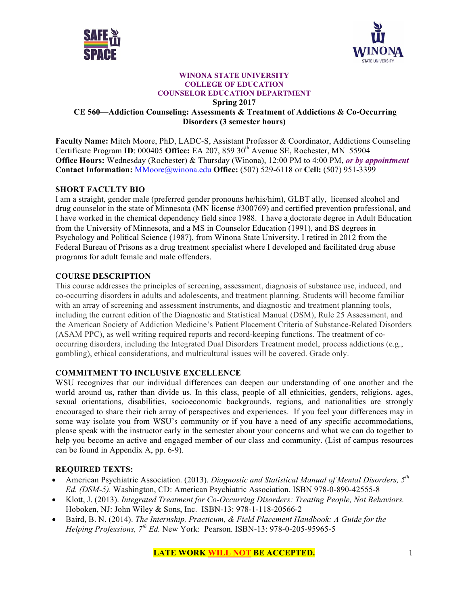



#### **WINONA STATE UNIVERSITY COLLEGE OF EDUCATION COUNSELOR EDUCATION DEPARTMENT Spring 2017 CE 560—Addiction Counseling: Assessments & Treatment of Addictions & Co-Occurring Disorders (3 semester hours)**

**Faculty Name:** Mitch Moore, PhD, LADC-S, Assistant Professor & Coordinator, Addictions Counseling Certificate Program **ID**: 000405 **Office:** EA 207, 859 30<sup>th</sup> Avenue SE, Rochester, MN 55904 **Office Hours:** Wednesday (Rochester) & Thursday (Winona), 12:00 PM to 4:00 PM, *or by appointment* **Contact Information:** MMoore@winona.edu **Office:** (507) 529-6118 or **Cell:** (507) 951-3399

## **SHORT FACULTY BIO**

I am a straight, gender male (preferred gender pronouns he/his/him), GLBT ally, licensed alcohol and drug counselor in the state of Minnesota (MN license #300769) and certified prevention professional, and I have worked in the chemical dependency field since 1988. I have a doctorate degree in Adult Education from the University of Minnesota, and a MS in Counselor Education (1991), and BS degrees in Psychology and Political Science (1987), from Winona State University. I retired in 2012 from the Federal Bureau of Prisons as a drug treatment specialist where I developed and facilitated drug abuse programs for adult female and male offenders.

## **COURSE DESCRIPTION**

This course addresses the principles of screening, assessment, diagnosis of substance use, induced, and co-occurring disorders in adults and adolescents, and treatment planning. Students will become familiar with an array of screening and assessment instruments, and diagnostic and treatment planning tools, including the current edition of the Diagnostic and Statistical Manual (DSM), Rule 25 Assessment, and the American Society of Addiction Medicine's Patient Placement Criteria of Substance-Related Disorders (ASAM PPC), as well writing required reports and record-keeping functions. The treatment of cooccurring disorders, including the Integrated Dual Disorders Treatment model, process addictions (e.g., gambling), ethical considerations, and multicultural issues will be covered. Grade only.

## **COMMITMENT TO INCLUSIVE EXCELLENCE**

WSU recognizes that our individual differences can deepen our understanding of one another and the world around us, rather than divide us. In this class, people of all ethnicities, genders, religions, ages, sexual orientations, disabilities, socioeconomic backgrounds, regions, and nationalities are strongly encouraged to share their rich array of perspectives and experiences. If you feel your differences may in some way isolate you from WSU's community or if you have a need of any specific accommodations, please speak with the instructor early in the semester about your concerns and what we can do together to help you become an active and engaged member of our class and community. (List of campus resources can be found in Appendix A, pp. 6-9).

## **REQUIRED TEXTS:**

- American Psychiatric Association. (2013). *Diagnostic and Statistical Manual of Mental Disorders, 5th Ed. (DSM-5).* Washington, CD: American Psychiatric Association. ISBN 978-0-890-42555-8
- Klott, J. (2013). *Integrated Treatment for Co-Occurring Disorders: Treating People, Not Behaviors.*  Hoboken, NJ: John Wiley & Sons, Inc. ISBN-13: 978-1-118-20566-2
- Baird, B. N. (2014). *The Internship, Practicum, & Field Placement Handbook: A Guide for the Helping Professions, 7th Ed.* New York: Pearson. ISBN-13: 978-0-205-95965-5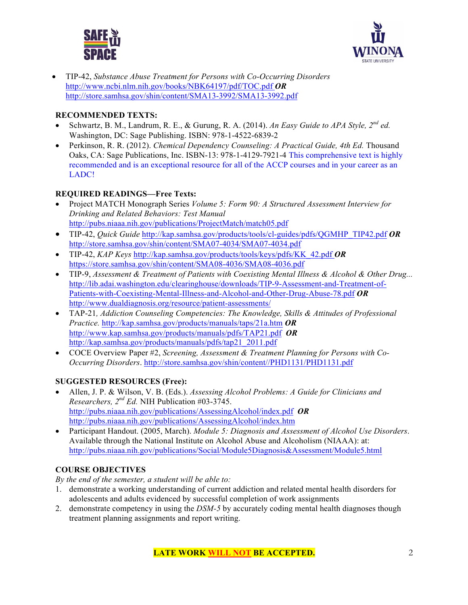



• TIP-42, *Substance Abuse Treatment for Persons with Co-Occurring Disorders* http://www.ncbi.nlm.nih.gov/books/NBK64197/pdf/TOC.pdf *OR*  http://store.samhsa.gov/shin/content/SMA13-3992/SMA13-3992.pdf

# **RECOMMENDED TEXTS:**

- Schwartz, B. M., Landrum, R. E., & Gurung, R. A. (2014). *An Easy Guide to APA Style, 2nd ed.* Washington, DC: Sage Publishing. ISBN: 978-1-4522-6839-2
- Perkinson, R. R. (2012). *Chemical Dependency Counseling: A Practical Guide, 4th Ed.* Thousand Oaks, CA: Sage Publications, Inc. ISBN-13: 978-1-4129-7921-4 This comprehensive text is highly recommended and is an exceptional resource for all of the ACCP courses and in your career as an LADC!

# **REQUIRED READINGS—Free Texts:**

- Project MATCH Monograph Series *Volume 5: Form 90: A Structured Assessment Interview for Drinking and Related Behaviors: Test Manual* http://pubs.niaaa.nih.gov/publications/ProjectMatch/match05.pdf
- TIP-42, *Quick Guide* http://kap.samhsa.gov/products/tools/cl-guides/pdfs/QGMHP\_TIP42.pdf *OR*  http://store.samhsa.gov/shin/content/SMA07-4034/SMA07-4034.pdf
- TIP-42, *KAP Keys* http://kap.samhsa.gov/products/tools/keys/pdfs/KK\_42.pdf *OR* https://store.samhsa.gov/shin/content/SMA08-4036/SMA08-4036.pdf
- TIP-9, *Assessment & Treatment of Patients with Coexisting Mental Illness & Alcohol & Other Drug...* http://lib.adai.washington.edu/clearinghouse/downloads/TIP-9-Assessment-and-Treatment-of-Patients-with-Coexisting-Mental-Illness-and-Alcohol-and-Other-Drug-Abuse-78.pdf *OR* http://www.dualdiagnosis.org/resource/patient-assessments/
- TAP-21*, Addiction Counseling Competencies: The Knowledge, Skills & Attitudes of Professional Practice.* http://kap.samhsa.gov/products/manuals/taps/21a.htm *OR* http://www.kap.samhsa.gov/products/manuals/pdfs/TAP21.pdf *OR*  http://kap.samhsa.gov/products/manuals/pdfs/tap21\_2011.pdf
- COCE Overview Paper #2, *Screening, Assessment & Treatment Planning for Persons with Co-Occurring Disorders*. http://store.samhsa.gov/shin/content//PHD1131/PHD1131.pdf

# **SUGGESTED RESOURCES (Free):**

- Allen, J. P. & Wilson, V. B. (Eds.). *Assessing Alcohol Problems: A Guide for Clinicians and Researchers, 2nd Ed.* NIH Publication #03-3745. http://pubs.niaaa.nih.gov/publications/AssessingAlcohol/index.pdf *OR* http://pubs.niaaa.nih.gov/publications/AssessingAlcohol/index.htm
- Participant Handout. (2005, March). *Module 5: Diagnosis and Assessment of Alcohol Use Disorders*. Available through the National Institute on Alcohol Abuse and Alcoholism (NIAAA): at: http://pubs.niaaa.nih.gov/publications/Social/Module5Diagnosis&Assessment/Module5.html

# **COURSE OBJECTIVES**

*By the end of the semester, a student will be able to:*

- 1. demonstrate a working understanding of current addiction and related mental health disorders for adolescents and adults evidenced by successful completion of work assignments
- 2. demonstrate competency in using the *DSM-5* by accurately coding mental health diagnoses though treatment planning assignments and report writing.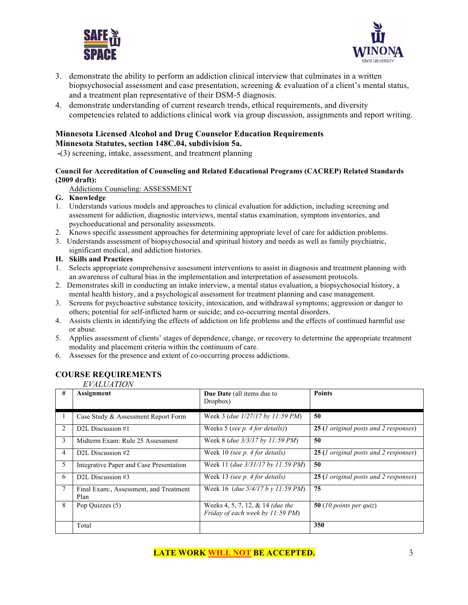



- 3. demonstrate the ability to perform an addiction clinical interview that culminates in a written biopsychosocial assessment and case presentation, screening & evaluation of a client's mental status, and a treatment plan representative of their DSM-5 diagnosis.
- 4. demonstrate understanding of current research trends, ethical requirements, and diversity competencies related to addictions clinical work via group discussion, assignments and report writing.

## **Minnesota Licensed Alcohol and Drug Counselor Education Requirements Minnesota Statutes, section 148C.04, subdivision 5a.**

**-**(3) screening, intake, assessment, and treatment planning

#### **Council for Accreditation of Counseling and Related Educational Programs (CACREP) Related Standards (2009 draft):**

Addictions Counseling: ASSESSMENT

## **G. Knowledge**

- 1. Understands various models and approaches to clinical evaluation for addiction, including screening and assessment for addiction, diagnostic interviews, mental status examination, symptom inventories, and psychoeducational and personality assessments.
- 2. Knows specific assessment approaches for determining appropriate level of care for addiction problems.
- 3. Understands assessment of biopsychosocial and spiritual history and needs as well as family psychiatric, significant medical, and addiction histories.

#### **H. Skills and Practices**

- 1. Selects appropriate comprehensive assessment interventions to assist in diagnosis and treatment planning with an awareness of cultural bias in the implementation and interpretation of assessment protocols.
- 2. Demonstrates skill in conducting an intake interview, a mental status evaluation, a biopsychosocial history, a mental health history, and a psychological assessment for treatment planning and case management.
- 3. Screens for psychoactive substance toxicity, intoxication, and withdrawal symptoms; aggression or danger to others; potential for self-inflicted harm or suicide; and co-occurring mental disorders.
- 4. Assists clients in identifying the effects of addiction on life problems and the effects of continued harmful use or abuse.
- 5. Applies assessment of clients' stages of dependence, change, or recovery to determine the appropriate treatment modality and placement criteria within the continuum of care.
- 6. Assesses for the presence and extent of co-occurring process addictions.

# **COURSE REQUIREMENTS**

*EVALUATION*

| # | Assignment                                     | <b>Due Date</b> (all items due to<br>Dropbox)                        | <b>Points</b>                         |  |
|---|------------------------------------------------|----------------------------------------------------------------------|---------------------------------------|--|
|   | Case Study & Assessment Report Form            | Week 3 (due $1/27/17$ by 11:59 PM)                                   | 50                                    |  |
| 2 | D2L Discussion #1                              | Weeks 5 (see $p$ . 4 for details))                                   | 25 (1 original posts and 2 responses) |  |
| 3 | Midterm Exam: Rule 25 Assessment               | Week 8 ( <i>due 3/3/17 by 11:59 PM</i> )                             | 50                                    |  |
| 4 | D <sub>2L</sub> Discussion #2                  | Week 10 (see $p$ . 4 for details)                                    | 25 (1 original posts and 2 responses) |  |
| 5 | Integrative Paper and Case Presentation        | Week 11 (due 3/31/17 by 11:59 PM)                                    | 50                                    |  |
| 6 | D2L Discussion #3                              | Week 13 (see p. 4 for details)                                       | 25 (1 original posts and 2 responses) |  |
| 7 | Final Exam:, Assessment, and Treatment<br>Plan | Week 16 (due $5/4/17 b y 11:59 PM$ )                                 | 75                                    |  |
| 8 | Pop Quizzes (5)                                | Weeks 4, 5, 7, 12, & 14 (due the<br>Friday of each week by 11:59 PM) | 50 (10 points per quiz)               |  |
|   | Total                                          |                                                                      | 350                                   |  |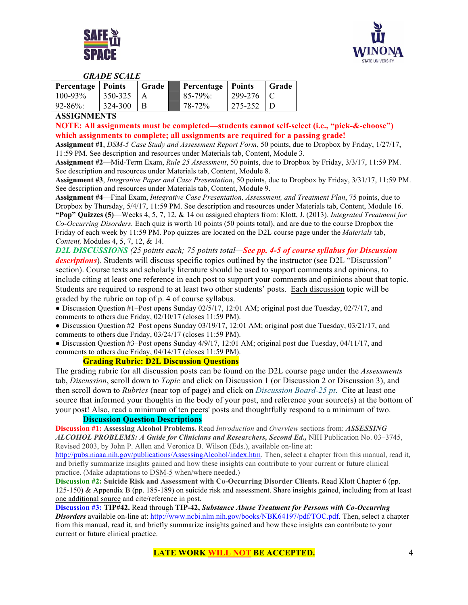



#### *GRADE SCALE*

| <b>Percentage</b>   Points |         | Grade | Percentage   Points |         | Grade |
|----------------------------|---------|-------|---------------------|---------|-------|
| $100 - 93\%$               | 350-325 |       | $85-79\%$ :         | 299-276 |       |
| $92 - 86\%$                | 324-300 |       | 78-72%              | 275-252 |       |

#### **ASSIGNMENTS**

**NOTE: All assignments must be completed—students cannot self-select (i.e., "pick-&-choose") which assignments to complete; all assignments are required for a passing grade!** 

**Assignment #1**, *DSM-5 Case Study and Assessment Report Form*, 50 points, due to Dropbox by Friday, 1/27/17, 11:59 PM. See description and resources under Materials tab, Content, Module 3.

**Assignment #2**—Mid-Term Exam, *Rule 25 Assessment*, 50 points, due to Dropbox by Friday, 3/3/17, 11:59 PM. See description and resources under Materials tab, Content, Module 8.

**Assignment #3**, *Integrative Paper and Case Presentation*, 50 points, due to Dropbox by Friday, 3/31/17, 11:59 PM. See description and resources under Materials tab, Content, Module 9.

**Assignment #4**—Final Exam, *Integrative Case Presentation, Assessment, and Treatment Plan*, 75 points, due to Dropbox by Thursday, 5/4/17, 11:59 PM. See description and resources under Materials tab, Content, Module 16. **"Pop" Quizzes (5)**—Weeks 4, 5, 7, 12, & 14 on assigned chapters from: Klott, J. (2013). *Integrated Treatment for Co-Occurring Disorders.* Each quiz is worth 10 points (50 points total), and are due to the course Dropbox the Friday of each week by 11:59 PM. Pop quizzes are located on the D2L course page under the *Materials* tab, *Content,* Modules 4, 5, 7, 12, & 14.

*D2L DISCUSSIONS (25 points each; 75 points total—See pp. 4-5 of course syllabus for Discussion descriptions*). Students will discuss specific topics outlined by the instructor (see D2L "Discussion" section). Course texts and scholarly literature should be used to support comments and opinions, to include citing at least one reference in each post to support your comments and opinions about that topic. Students are required to respond to at least two other students' posts. Each discussion topic will be graded by the rubric on top of p. 4 of course syllabus.

● Discussion Question #1–Post opens Sunday 02/5/17, 12:01 AM; original post due Tuesday, 02/7/17, and comments to others due Friday, 02/10/17 (closes 11:59 PM).

● Discussion Question #2–Post opens Sunday 03/19/17, 12:01 AM; original post due Tuesday, 03/21/17, and comments to others due Friday, 03/24/17 (closes 11:59 PM).

● Discussion Question #3–Post opens Sunday 4/9/17, 12:01 AM; original post due Tuesday, 04/11/17, and comments to others due Friday, 04/14/17 (closes 11:59 PM).

## **Grading Rubric: D2L Discussion Questions**

The grading rubric for all discussion posts can be found on the D2L course page under the *Assessments* tab, *Discussion*, scroll down to *Topic* and click on Discussion 1 (or Discussion 2 or Discussion 3), and then scroll down to *Rubrics* (near top of page) and click on *Discussion Board-25 pt*. Cite at least one source that informed your thoughts in the body of your post, and reference your source(s) at the bottom of your post! Also, read a minimum of ten peers' posts and thoughtfully respond to a minimum of two.

#### **Discussion Question Descriptions**

**Discussion #1: Assessing Alcohol Problems.** Read *Introduction* and *Overview* sections from: *ASSESSING ALCOHOL PROBLEMS: A Guide for Clinicians and Researchers, Second Ed.,* NIH Publication No. 03–3745, Revised 2003, by John P. Allen and Veronica B. Wilson (Eds.), available on-line at:

http://pubs.niaaa.nih.gov/publications/AssessingAlcohol/index.htm. Then, select a chapter from this manual, read it, and briefly summarize insights gained and how these insights can contribute to your current or future clinical practice. (Make adaptations to DSM-5 when/where needed.)

**Discussion #2: Suicide Risk and Assessment with Co-Occurring Disorder Clients.** Read Klott Chapter 6 (pp. 125-150) & Appendix B (pp. 185-189) on suicide risk and assessment. Share insights gained, including from at least one additional source and cite/reference in post.

**Discussion #3: TIP#42.** Read through **TIP-42,** *Substance Abuse Treatment for Persons with Co-Occurring Disorders* available on-line at: http://www.ncbi.nlm.nih.gov/books/NBK64197/pdf/TOC.pdf. Then, select a chapter from this manual, read it, and briefly summarize insights gained and how these insights can contribute to your current or future clinical practice.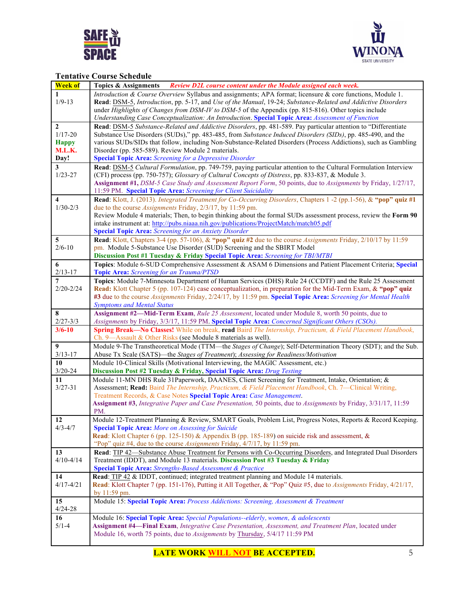



# **Tentative Course Schedule**

| <b>Week of</b>                   | Topics & Assignments Review D2L course content under the Module assigned each week.                                                                                                                                                                                                                                                              |
|----------------------------------|--------------------------------------------------------------------------------------------------------------------------------------------------------------------------------------------------------------------------------------------------------------------------------------------------------------------------------------------------|
| 1<br>$1/9 - 13$                  | Introduction & Course Overview Syllabus and assignments; APA format; licensure & core functions, Module 1.<br>Read: DSM-5, Introduction, pp. 5-17, and Use of the Manual, 19-24; Substance-Related and Addictive Disorders<br>under Highlights of Changes from DSM-IV to DSM-5 of the Appendix (pp. 815-816). Other topics include               |
|                                  | Understanding Case Conceptualization: An Introduction. Special Topic Area: Assessment of Function                                                                                                                                                                                                                                                |
| 2<br>$1/17 - 20$<br><b>Happy</b> | Read: DSM-5 Substance-Related and Addictive Disorders, pp. 481-589. Pay particular attention to "Differentiate<br>Substance Use Disorders (SUDs)," pp. 483-485, from Substance Induced Disorders (SIDs), pp. 485-490, and the<br>various SUDs/SIDs that follow, including Non-Substance-Related Disorders (Process Addictions), such as Gambling |
| M.L.K.                           | Disorder (pp. 585-589). Review Module 2 materials.                                                                                                                                                                                                                                                                                               |
| Day!                             | <b>Special Topic Area:</b> Screening for a Depressive Disorder                                                                                                                                                                                                                                                                                   |
| 3                                | Read: DSM-5 Cultural Formulation, pp. 749-759, paying particular attention to the Cultural Formulation Interview                                                                                                                                                                                                                                 |
| $1/23 - 27$                      | (CFI) process (pp. 750-757); Glossary of Cultural Concepts of Distress, pp. 833-837, & Module 3.<br>Assignment #1, DSM-5 Case Study and Assessment Report Form, 50 points, due to Assignments by Friday, 1/27/17,                                                                                                                                |
|                                  | 11:59 PM. Special Topic Area: Screening for Client Suicidality                                                                                                                                                                                                                                                                                   |
| 4<br>$1/30 - 2/3$                | Read: Klott, J. (2013). Integrated Treatment for Co-Occurring Disorders, Chapters 1 -2 (pp.1-56), & "pop" quiz #1<br>due to the course Assignments Friday, 2/3/17, by 11:59 pm.                                                                                                                                                                  |
|                                  | Review Module 4 materials; Then, to begin thinking about the formal SUDs assessment process, review the Form 90                                                                                                                                                                                                                                  |
|                                  | intake instrument at: http://pubs.niaaa.nih.gov/publications/ProjectMatch/match05.pdf                                                                                                                                                                                                                                                            |
|                                  | <b>Special Topic Area:</b> Screening for an Anxiety Disorder                                                                                                                                                                                                                                                                                     |
| 5<br>$2/6 - 10$                  | Read: Klott, Chapters 3-4 (pp. 57-106), & "pop" quiz #2 due to the course Assignments Friday, 2/10/17 by 11:59<br>pm. Module 5-Substance Use Disorder (SUD) Screening and the SBIRT Model                                                                                                                                                        |
|                                  | Discussion Post #1 Tuesday & Friday Special Topic Area: Screening for TBI/MTBI                                                                                                                                                                                                                                                                   |
| 6<br>$2/13 - 17$                 | Topics: Module 6-SUD Comprehensive Assessment & ASAM 6 Dimensions and Patient Placement Criteria; Special                                                                                                                                                                                                                                        |
| 7                                | Topic Area: Screening for an Trauma/PTSD<br>Topics: Module 7-Minnesota Department of Human Services (DHS) Rule 24 (CCDTF) and the Rule 25 Assessment                                                                                                                                                                                             |
| $2/20 - 2/24$                    | Read: Klott Chapter 5 (pp. 107-124) case conceptualization, in preparation for the Mid-Term Exam, & "pop" quiz                                                                                                                                                                                                                                   |
|                                  | #3 due to the course Assignments Friday, 2/24/17, by 11:59 pm. Special Topic Area: Screening for Mental Health                                                                                                                                                                                                                                   |
|                                  | <b>Symptoms and Mental Status</b>                                                                                                                                                                                                                                                                                                                |
| 8                                | Assignment #2—Mid-Term Exam, Rule 25 Assessment, located under Module 8, worth 50 points, due to                                                                                                                                                                                                                                                 |
| $2/27 - 3/3$                     | Assignments by Friday, 3/3/17, 11:59 PM. Special Topic Area: Concerned Significant Others (CSOs).                                                                                                                                                                                                                                                |
| $3/6 - 10$                       | Spring Break-No Classes! While on break, read Baird The Internship, Practicum, & Field Placement Handbook,                                                                                                                                                                                                                                       |
|                                  | Ch. 9-Assault & Other Risks (see Module 8 materials as well).                                                                                                                                                                                                                                                                                    |
| 9                                | Module 9-The Transtheoretical Mode (TTM—the Stages of Change); Self-Determination Theory (SDT); and the Sub.                                                                                                                                                                                                                                     |
| $3/13 - 17$                      | Abuse Tx Scale (SATS)-the Stages of Treatment); Assessing for Readiness/Motivation                                                                                                                                                                                                                                                               |
| 10                               | Module 10-Clinical Skills (Motivational Interviewing, the MAGIC Assessment, etc.)                                                                                                                                                                                                                                                                |
| $3/20 - 24$                      | <b>Discussion Post #2 Tuesday &amp; Friday, Special Topic Area:</b> Drug Testing                                                                                                                                                                                                                                                                 |
| 11                               | Module 11-MN DHS Rule 31Paperwork, DAANES, Client Screening for Treatment, Intake, Orientation; &                                                                                                                                                                                                                                                |
| $3/27 - 31$                      | Assessment; Read: Baird The Internship, Practicum, & Field Placement Handbook, Ch. 7—Clinical Writing,                                                                                                                                                                                                                                           |
|                                  | Treatment Records, & Case Notes Special Topic Area: Case Management.<br>Assignment #3, Integrative Paper and Case Presentation, 50 points, due to Assignments by Friday, 3/31/17, 11:59                                                                                                                                                          |
|                                  | PM.                                                                                                                                                                                                                                                                                                                                              |
| 12                               | Module 12-Treatment Planning & Review, SMART Goals, Problem List, Progress Notes, Reports & Record Keeping                                                                                                                                                                                                                                       |
| $4/3 - 4/7$                      | <b>Special Topic Area:</b> More on Assessing for Suicide                                                                                                                                                                                                                                                                                         |
|                                  | <b>Read:</b> Klott Chapter 6 (pp. 125-150) & Appendix B (pp. 185-189) on suicide risk and assessment, &                                                                                                                                                                                                                                          |
|                                  | "Pop" quiz #4, due to the course Assignments Friday, 4/7/17, by 11:59 pm.                                                                                                                                                                                                                                                                        |
| 13                               | Read: TIP 42—Substance Abuse Treatment for Persons with Co-Occurring Disorders, and Integrated Dual Disorders                                                                                                                                                                                                                                    |
| $4/10 - 4/14$                    | Treatment (IDDT), and Module 13 materials. Discussion Post #3 Tuesday & Friday                                                                                                                                                                                                                                                                   |
|                                  | <b>Special Topic Area:</b> Strengths-Based Assessment & Practice                                                                                                                                                                                                                                                                                 |
| 14                               | Read: TIP 42 & IDDT, continued; integrated treatment planning and Module 14 materials.                                                                                                                                                                                                                                                           |
| $4/17 - 4/21$                    | Read: Klott Chapter 7 (pp. 151-176), Putting it All Together, & "Pop" Quiz #5, due to Assignments Friday, 4/21/17,                                                                                                                                                                                                                               |
|                                  | by 11:59 pm.                                                                                                                                                                                                                                                                                                                                     |
| 15<br>$4/24 - 28$                | Module 15: Special Topic Area: Process Addictions: Screening, Assessment & Treatment                                                                                                                                                                                                                                                             |
| 16                               | Module 16: Special Topic Area: Special Populations--elderly, women, & adolescents                                                                                                                                                                                                                                                                |
| $5/1 - 4$                        | Assignment #4-Final Exam, Integrative Case Presentation, Assessment, and Treatment Plan, located under                                                                                                                                                                                                                                           |
|                                  | Module 16, worth 75 points, due to Assignments by Thursday, 5/4/17 11:59 PM                                                                                                                                                                                                                                                                      |
|                                  |                                                                                                                                                                                                                                                                                                                                                  |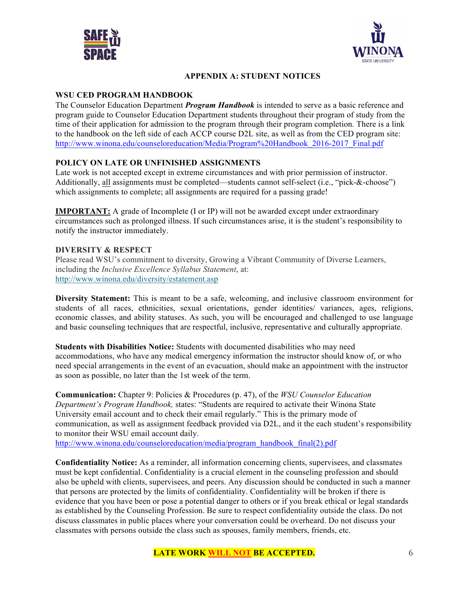



# **APPENDIX A: STUDENT NOTICES**

## **WSU CED PROGRAM HANDBOOK**

The Counselor Education Department *Program Handbook* is intended to serve as a basic reference and program guide to Counselor Education Department students throughout their program of study from the time of their application for admission to the program through their program completion*.* There is a link to the handbook on the left side of each ACCP course D2L site, as well as from the CED program site: http://www.winona.edu/counseloreducation/Media/Program%20Handbook\_2016-2017\_Final.pdf

## **POLICY ON LATE OR UNFINISHED ASSIGNMENTS**

Late work is not accepted except in extreme circumstances and with prior permission of instructor. Additionally, all assignments must be completed—students cannot self-select (i.e., "pick-&-choose") which assignments to complete; all assignments are required for a passing grade!

**IMPORTANT:** A grade of Incomplete (I or IP) will not be awarded except under extraordinary circumstances such as prolonged illness. If such circumstances arise, it is the student's responsibility to notify the instructor immediately.

## **DIVERSITY & RESPECT**

Please read WSU's commitment to diversity, Growing a Vibrant Community of Diverse Learners, including the *Inclusive Excellence Syllabus Statement*, at: http://www.winona.edu/diversity/estatement.asp

**Diversity Statement:** This is meant to be a safe, welcoming, and inclusive classroom environment for students of all races, ethnicities, sexual orientations, gender identities/ variances, ages, religions, economic classes, and ability statuses. As such, you will be encouraged and challenged to use language and basic counseling techniques that are respectful, inclusive, representative and culturally appropriate.

**Students with Disabilities Notice:** Students with documented disabilities who may need accommodations, who have any medical emergency information the instructor should know of, or who need special arrangements in the event of an evacuation, should make an appointment with the instructor as soon as possible, no later than the 1st week of the term.

**Communication:** Chapter 9: Policies & Procedures (p. 47), of the *WSU Counselor Education Department's Program Handbook,* states: "Students are required to activate their Winona State University email account and to check their email regularly." This is the primary mode of communication, as well as assignment feedback provided via D2L, and it the each student's responsibility to monitor their WSU email account daily. http://www.winona.edu/counseloreducation/media/program\_handbook\_final(2).pdf

**Confidentiality Notice:** As a reminder, all information concerning clients, supervisees, and classmates must be kept confidential. Confidentiality is a crucial element in the counseling profession and should also be upheld with clients, supervisees, and peers. Any discussion should be conducted in such a manner

that persons are protected by the limits of confidentiality. Confidentiality will be broken if there is evidence that you have been or pose a potential danger to others or if you break ethical or legal standards as established by the Counseling Profession. Be sure to respect confidentiality outside the class. Do not discuss classmates in public places where your conversation could be overheard. Do not discuss your classmates with persons outside the class such as spouses, family members, friends, etc.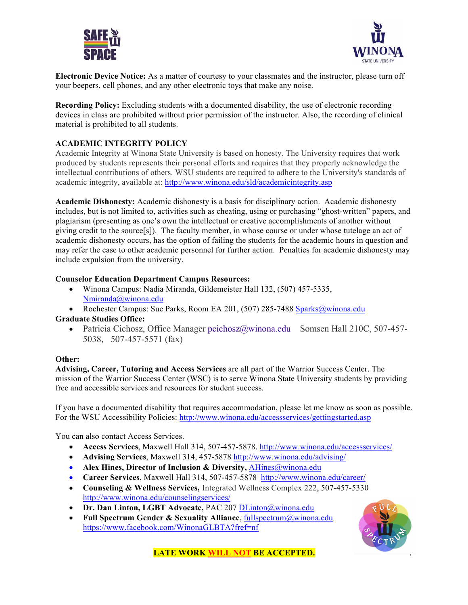



**Electronic Device Notice:** As a matter of courtesy to your classmates and the instructor, please turn off your beepers, cell phones, and any other electronic toys that make any noise.

**Recording Policy:** Excluding students with a documented disability, the use of electronic recording devices in class are prohibited without prior permission of the instructor. Also, the recording of clinical material is prohibited to all students.

## **ACADEMIC INTEGRITY POLICY**

Academic Integrity at Winona State University is based on honesty. The University requires that work produced by students represents their personal efforts and requires that they properly acknowledge the intellectual contributions of others. WSU students are required to adhere to the University's standards of academic integrity, available at: http://www.winona.edu/sld/academicintegrity.asp

**Academic Dishonesty:** Academic dishonesty is a basis for disciplinary action. Academic dishonesty includes, but is not limited to, activities such as cheating, using or purchasing "ghost-written" papers, and plagiarism (presenting as one's own the intellectual or creative accomplishments of another without giving credit to the source[s]). The faculty member, in whose course or under whose tutelage an act of academic dishonesty occurs, has the option of failing the students for the academic hours in question and may refer the case to other academic personnel for further action. Penalties for academic dishonesty may include expulsion from the university.

## **Counselor Education Department Campus Resources:**

- Winona Campus: Nadia Miranda, Gildemeister Hall 132, (507) 457-5335, Nmiranda@winona.edu
- Rochester Campus: Sue Parks, Room EA 201, (507) 285-7488 Sparks@winona.edu **Graduate Studies Office:** 
	- Patricia Cichosz, Office Manager pcichosz@winona.edu Somsen Hall 210C, 507-457-5038, 507-457-5571 (fax)

## **Other:**

**Advising, Career, Tutoring and Access Services** are all part of the Warrior Success Center. The mission of the Warrior Success Center (WSC) is to serve Winona State University students by providing free and accessible services and resources for student success.

If you have a documented disability that requires accommodation, please let me know as soon as possible. For the WSU Accessibility Policies: http://www.winona.edu/accessservices/gettingstarted.asp

You can also contact Access Services.

- **Access Services**, Maxwell Hall 314, 507-457-5878. http://www.winona.edu/accessservices/
- **Advising Services**, Maxwell 314, 457-5878 http://www.winona.edu/advising/
- **Alex Hines, Director of Inclusion & Diversity,** AHines@winona.edu
- **Career Services**, Maxwell Hall 314, 507-457-5878 http://www.winona.edu/career/
- **Counseling & Wellness Services,** Integrated Wellness Complex 222, 507-457-5330 http://www.winona.edu/counselingservices/
- **Dr. Dan Linton, LGBT Advocate,** PAC 207 DLinton@winona.edu
- **Full Spectrum Gender & Sexuality Alliance**, fullspectrum@winona.edu https://www.facebook.com/WinonaGLBTA?fref=nf



**LATE WORK WILL NOT BE ACCEPTED.** 7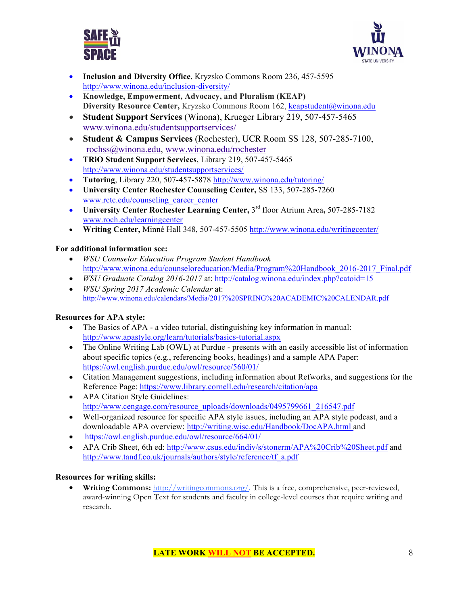



- **Inclusion and Diversity Office**, Kryzsko Commons Room 236, 457-5595 http://www.winona.edu/inclusion-diversity/
- **Knowledge, Empowerment, Advocacy, and Pluralism (KEAP) Diversity Resource Center,** Kryzsko Commons Room 162, keapstudent@winona.edu
- **Student Support Services** (Winona), Krueger Library 219, 507-457-5465 www.winona.edu/studentsupportservices/
- **Student & Campus Services** (Rochester), UCR Room SS 128, 507-285-7100, rochss@winona.edu, www.winona.edu/rochester
- **TRiO Student Support Services**, Library 219, 507-457-5465 http://www.winona.edu/studentsupportservices/
- **Tutoring**, Library 220, 507-457-5878 http://www.winona.edu/tutoring/
- **University Center Rochester Counseling Center,** SS 133, 507-285-7260 www.rctc.edu/counseling\_career\_center
- **University Center Rochester Learning Center,** 3rd floor Atrium Area**,** 507-285-7182 www.roch.edu/learningcenter
- **Writing Center,** Minné Hall 348, 507-457-5505 http://www.winona.edu/writingcenter/

# **For additional information see:**

- *WSU Counselor Education Program Student Handbook*  http://www.winona.edu/counseloreducation/Media/Program%20Handbook\_2016-2017\_Final.pdf
- *WSU Graduate Catalog 2016-2017* at: http://catalog.winona.edu/index.php?catoid=15
- *WSU Spring 2017 Academic Calendar* at: http://www.winona.edu/calendars/Media/2017%20SPRING%20ACADEMIC%20CALENDAR.pdf

# **Resources for APA style:**

- The Basics of APA a video tutorial, distinguishing key information in manual: http://www.apastyle.org/learn/tutorials/basics-tutorial.aspx
- The Online Writing Lab (OWL) at Purdue presents with an easily accessible list of information about specific topics (e.g., referencing books, headings) and a sample APA Paper: https://owl.english.purdue.edu/owl/resource/560/01/
- Citation Management suggestions, including information about Refworks, and suggestions for the Reference Page: https://www.library.cornell.edu/research/citation/apa
- APA Citation Style Guidelines: http://www.cengage.com/resource\_uploads/downloads/0495799661\_216547.pdf
- Well-organized resource for specific APA style issues, including an APA style podcast, and a downloadable APA overview: http://writing.wisc.edu/Handbook/DocAPA.html and
- https://owl.english.purdue.edu/owl/resource/664/01/
- APA Crib Sheet, 6th ed: http://www.csus.edu/indiv/s/stonerm/APA%20Crib%20Sheet.pdf and http://www.tandf.co.uk/journals/authors/style/reference/tf\_a.pdf

# **Resources for writing skills:**

• **Writing Commons:** http://writingcommons.org/. This is a free, comprehensive, peer-reviewed, award-winning Open Text for students and faculty in college-level courses that require writing and research.